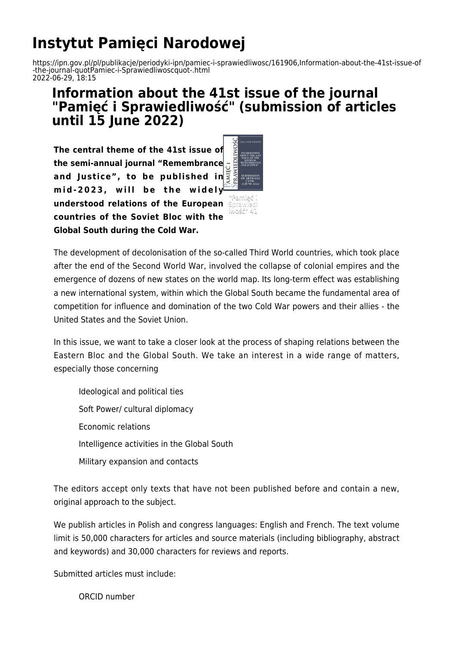## **Instytut Pamięci Narodowej**

https://ipn.gov.pl/pl/publikacje/periodyki-ipn/pamiec-i-sprawiedliwosc/161906,Information-about-the-41st-issue-of -the-journal-quotPamiec-i-Sprawiedliwoscquot-.html 2022-06-29, 18:15

## **Information about the 41st issue of the journal "Pamięć i Sprawiedliwość" (submission of articles until 15 June 2022)**

**The central theme of the 41st issue of the semi-annual journal "Remembrance and Justice", to be published in mid-2023, will be the widely understood relations of the European countries of the Soviet Bloc with the Global South during the Cold War.**



The development of decolonisation of the so-called Third World countries, which took place after the end of the Second World War, involved the collapse of colonial empires and the emergence of dozens of new states on the world map. Its long-term effect was establishing a new international system, within which the Global South became the fundamental area of competition for influence and domination of the two Cold War powers and their allies - the United States and the Soviet Union.

In this issue, we want to take a closer look at the process of shaping relations between the Eastern Bloc and the Global South. We take an interest in a wide range of matters, especially those concerning

Ideological and political ties Soft Power/ cultural diplomacy Economic relations Intelligence activities in the Global South Military expansion and contacts

The editors accept only texts that have not been published before and contain a new, original approach to the subject.

We publish articles in Polish and congress languages: English and French. The text volume limit is 50,000 characters for articles and source materials (including bibliography, abstract and keywords) and 30,000 characters for reviews and reports.

Submitted articles must include:

ORCID number